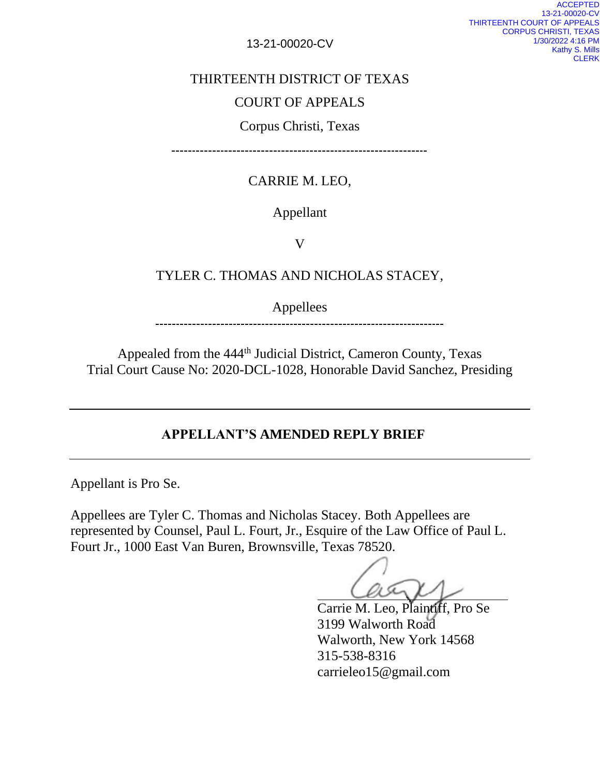13-21-00020-CV

### THIRTEENTH DISTRICT OF TEXAS

## COURT OF APPEALS

## Corpus Christi, Texas

----------------------------------------

# CARRIE M. LEO,

#### Appellant

V

#### TYLER C. THOMAS AND NICHOLAS STACEY,

Appellees

Appealed from the 444<sup>th</sup> Judicial District, Cameron County, Texas Trial Court Cause No: 2020-DCL-1028, Honorable David Sanchez, Presiding

### **APPELLANT'S AMENDED REPLY BRIEF**

Appellant is Pro Se.

Appellees are Tyler C. Thomas and Nicholas Stacey. Both Appellees are represented by Counsel, Paul L. Fourt, Jr., Esquire of the Law Office of Paul L. Fourt Jr., 1000 East Van Buren, Brownsville, Texas 78520.

Carrie M. Leo, Plaintiff, Pro Se 3199 Walworth Road Walworth, New York 14568 315-538-8316 carrieleo15@gmail.com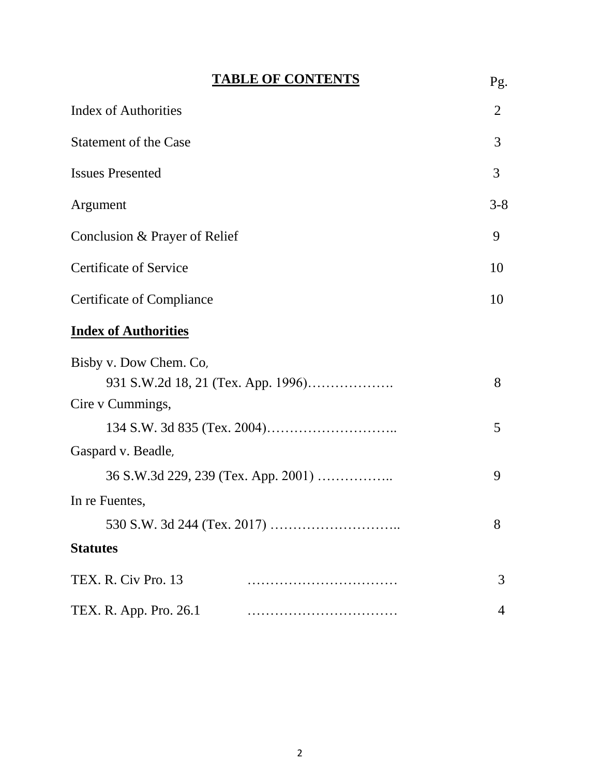| <b>TABLE OF CONTENTS</b>                                                           | Pg.         |
|------------------------------------------------------------------------------------|-------------|
| <b>Index of Authorities</b>                                                        | 2           |
| <b>Statement of the Case</b>                                                       | 3           |
| <b>Issues Presented</b>                                                            | 3           |
| Argument                                                                           | $3 - 8$     |
| Conclusion & Prayer of Relief                                                      | 9           |
| <b>Certificate of Service</b>                                                      | 10          |
| <b>Certificate of Compliance</b>                                                   | 10          |
| <b>Index of Authorities</b>                                                        |             |
| Bisby v. Dow Chem. Co,<br>Cire v Cummings,<br>Gaspard v. Beadle,<br>In re Fuentes, | 8<br>5<br>9 |
|                                                                                    | 8           |
| <b>Statutes</b>                                                                    |             |
| TEX. R. Civ Pro. 13                                                                | 3           |
| TEX. R. App. Pro. 26.1                                                             | 4           |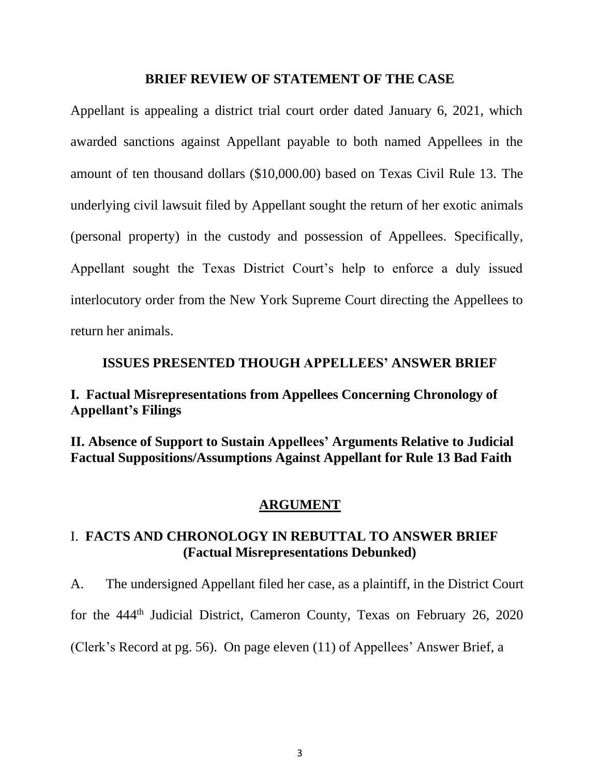#### **BRIEF REVIEW OF STATEMENT OF THE CASE**

Appellant is appealing a district trial court order dated January 6, 2021, which awarded sanctions against Appellant payable to both named Appellees in the amount of ten thousand dollars (\$10,000.00) based on Texas Civil Rule 13. The underlying civil lawsuit filed by Appellant sought the return of her exotic animals (personal property) in the custody and possession of Appellees. Specifically, Appellant sought the Texas District Court's help to enforce a duly issued interlocutory order from the New York Supreme Court directing the Appellees to return her animals.

#### **ISSUES PRESENTED THOUGH APPELLEES' ANSWER BRIEF**

## **I. Factual Misrepresentations from Appellees Concerning Chronology of Appellant's Filings**

**II. Absence of Support to Sustain Appellees' Arguments Relative to Judicial Factual Suppositions/Assumptions Against Appellant for Rule 13 Bad Faith**

#### **ARGUMENT**

### I. **FACTS AND CHRONOLOGY IN REBUTTAL TO ANSWER BRIEF (Factual Misrepresentations Debunked)**

A. The undersigned Appellant filed her case, as a plaintiff, in the District Court for the 444<sup>th</sup> Judicial District, Cameron County, Texas on February 26, 2020 (Clerk's Record at pg. 56). On page eleven (11) of Appellees' Answer Brief, a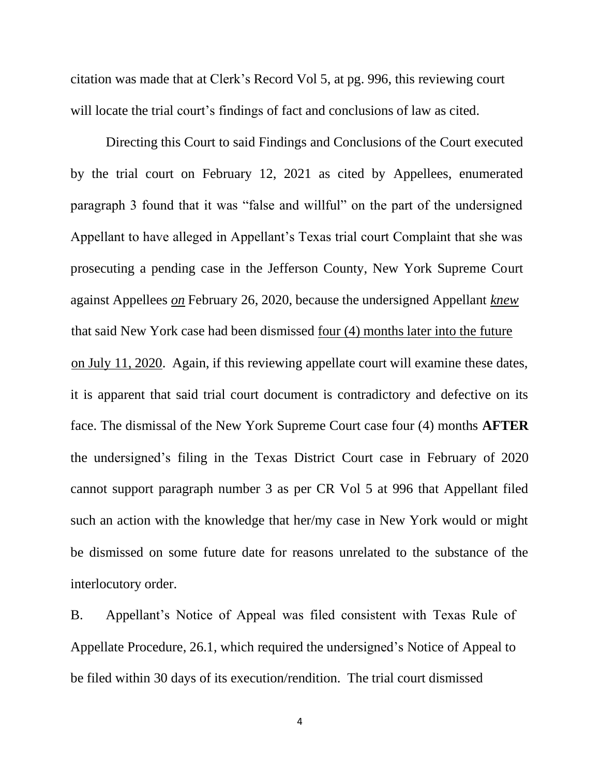citation was made that at Clerk's Record Vol 5, at pg. 996, this reviewing court will locate the trial court's findings of fact and conclusions of law as cited.

Directing this Court to said Findings and Conclusions of the Court executed by the trial court on February 12, 2021 as cited by Appellees, enumerated paragraph 3 found that it was "false and willful" on the part of the undersigned Appellant to have alleged in Appellant's Texas trial court Complaint that she was prosecuting a pending case in the Jefferson County, New York Supreme Court against Appellees *on* February 26, 2020, because the undersigned Appellant *knew* that said New York case had been dismissed four (4) months later into the future on July 11, 2020. Again, if this reviewing appellate court will examine these dates, it is apparent that said trial court document is contradictory and defective on its face. The dismissal of the New York Supreme Court case four (4) months **AFTER** the undersigned's filing in the Texas District Court case in February of 2020 cannot support paragraph number 3 as per CR Vol 5 at 996 that Appellant filed such an action with the knowledge that her/my case in New York would or might be dismissed on some future date for reasons unrelated to the substance of the interlocutory order.

B. Appellant's Notice of Appeal was filed consistent with Texas Rule of Appellate Procedure, 26.1, which required the undersigned's Notice of Appeal to be filed within 30 days of its execution/rendition. The trial court dismissed

4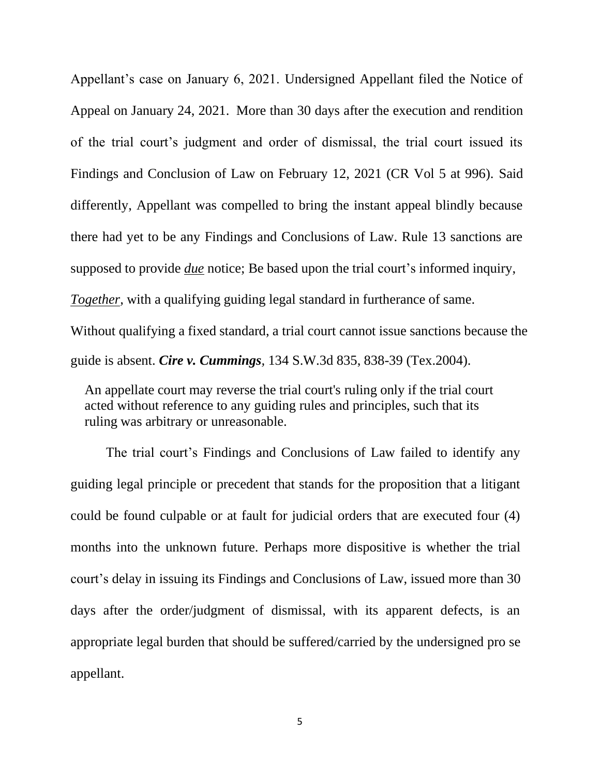Appellant's case on January 6, 2021. Undersigned Appellant filed the Notice of Appeal on January 24, 2021. More than 30 days after the execution and rendition of the trial court's judgment and order of dismissal, the trial court issued its Findings and Conclusion of Law on February 12, 2021 (CR Vol 5 at 996). Said differently, Appellant was compelled to bring the instant appeal blindly because there had yet to be any Findings and Conclusions of Law. Rule 13 sanctions are supposed to provide *due* notice; Be based upon the trial court's informed inquiry, *Together*, with a qualifying guiding legal standard in furtherance of same.

Without qualifying a fixed standard, a trial court cannot issue sanctions because the guide is absent. *Cire v. Cummings,* 134 S.W.3d 835, 838-39 (Tex.2004).

An appellate court may reverse the trial court's ruling only if the trial court acted without reference to any guiding rules and principles, such that its ruling was arbitrary or unreasonable.

The trial court's Findings and Conclusions of Law failed to identify any guiding legal principle or precedent that stands for the proposition that a litigant could be found culpable or at fault for judicial orders that are executed four (4) months into the unknown future. Perhaps more dispositive is whether the trial court's delay in issuing its Findings and Conclusions of Law, issued more than 30 days after the order/judgment of dismissal, with its apparent defects, is an appropriate legal burden that should be suffered/carried by the undersigned pro se appellant.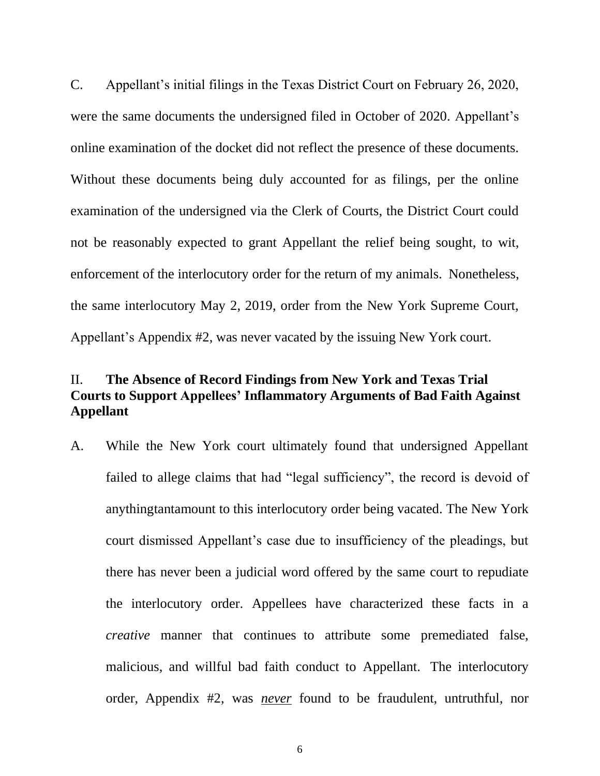C. Appellant's initial filings in the Texas District Court on February 26, 2020, were the same documents the undersigned filed in October of 2020. Appellant's online examination of the docket did not reflect the presence of these documents. Without these documents being duly accounted for as filings, per the online examination of the undersigned via the Clerk of Courts, the District Court could not be reasonably expected to grant Appellant the relief being sought, to wit, enforcement of the interlocutory order for the return of my animals. Nonetheless, the same interlocutory May 2, 2019, order from the New York Supreme Court, Appellant's Appendix #2, was never vacated by the issuing New York court.

## II. **The Absence of Record Findings from New York and Texas Trial Courts to Support Appellees' Inflammatory Arguments of Bad Faith Against Appellant**

A. While the New York court ultimately found that undersigned Appellant failed to allege claims that had "legal sufficiency", the record is devoid of anythingtantamount to this interlocutory order being vacated. The New York court dismissed Appellant's case due to insufficiency of the pleadings, but there has never been a judicial word offered by the same court to repudiate the interlocutory order. Appellees have characterized these facts in a *creative* manner that continues to attribute some premediated false, malicious, and willful bad faith conduct to Appellant. The interlocutory order, Appendix #2, was *never* found to be fraudulent, untruthful, nor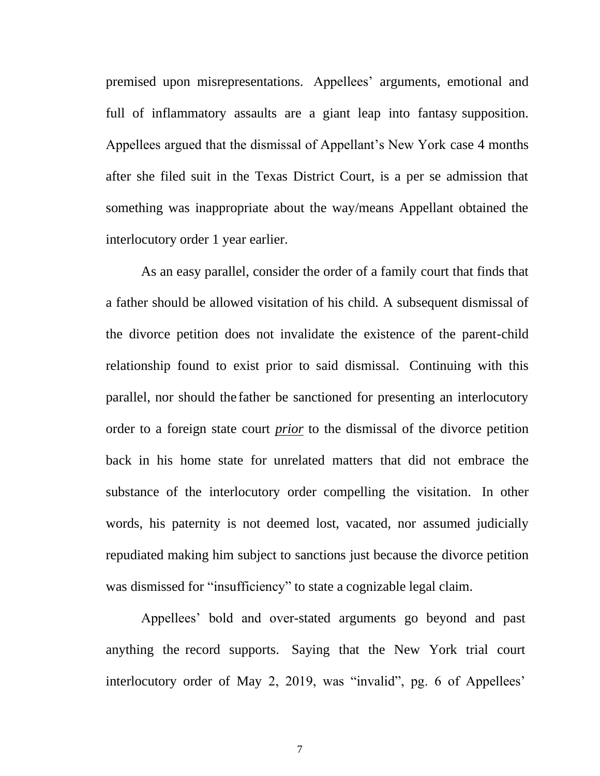premised upon misrepresentations. Appellees' arguments, emotional and full of inflammatory assaults are a giant leap into fantasy supposition. Appellees argued that the dismissal of Appellant's New York case 4 months after she filed suit in the Texas District Court, is a per se admission that something was inappropriate about the way/means Appellant obtained the interlocutory order 1 year earlier.

As an easy parallel, consider the order of a family court that finds that a father should be allowed visitation of his child. A subsequent dismissal of the divorce petition does not invalidate the existence of the parent-child relationship found to exist prior to said dismissal. Continuing with this parallel, nor should the father be sanctioned for presenting an interlocutory order to a foreign state court *prior* to the dismissal of the divorce petition back in his home state for unrelated matters that did not embrace the substance of the interlocutory order compelling the visitation. In other words, his paternity is not deemed lost, vacated, nor assumed judicially repudiated making him subject to sanctions just because the divorce petition was dismissed for "insufficiency" to state a cognizable legal claim.

Appellees' bold and over-stated arguments go beyond and past anything the record supports. Saying that the New York trial court interlocutory order of May 2, 2019, was "invalid", pg. 6 of Appellees'

7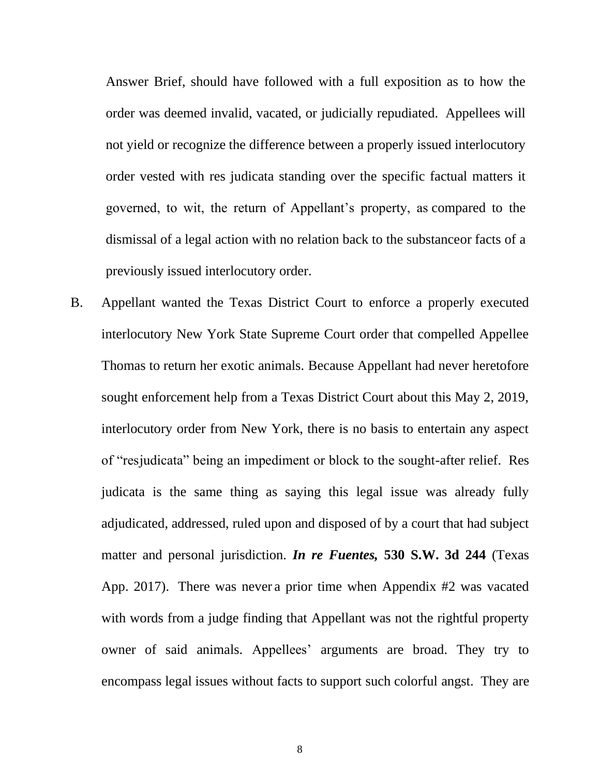Answer Brief, should have followed with a full exposition as to how the order was deemed invalid, vacated, or judicially repudiated. Appellees will not yield or recognize the difference between a properly issued interlocutory order vested with res judicata standing over the specific factual matters it governed, to wit, the return of Appellant's property, as compared to the dismissal of a legal action with no relation back to the substanceor facts of a previously issued interlocutory order.

B. Appellant wanted the Texas District Court to enforce a properly executed interlocutory New York State Supreme Court order that compelled Appellee Thomas to return her exotic animals. Because Appellant had never heretofore sought enforcement help from a Texas District Court about this May 2, 2019, interlocutory order from New York, there is no basis to entertain any aspect of "resjudicata" being an impediment or block to the sought-after relief. Res judicata is the same thing as saying this legal issue was already fully adjudicated, addressed, ruled upon and disposed of by a court that had subject matter and personal jurisdiction. *In re Fuentes,* **530 S.W. 3d 244** (Texas App. 2017). There was never a prior time when Appendix #2 was vacated with words from a judge finding that Appellant was not the rightful property owner of said animals. Appellees' arguments are broad. They try to encompass legal issues without facts to support such colorful angst. They are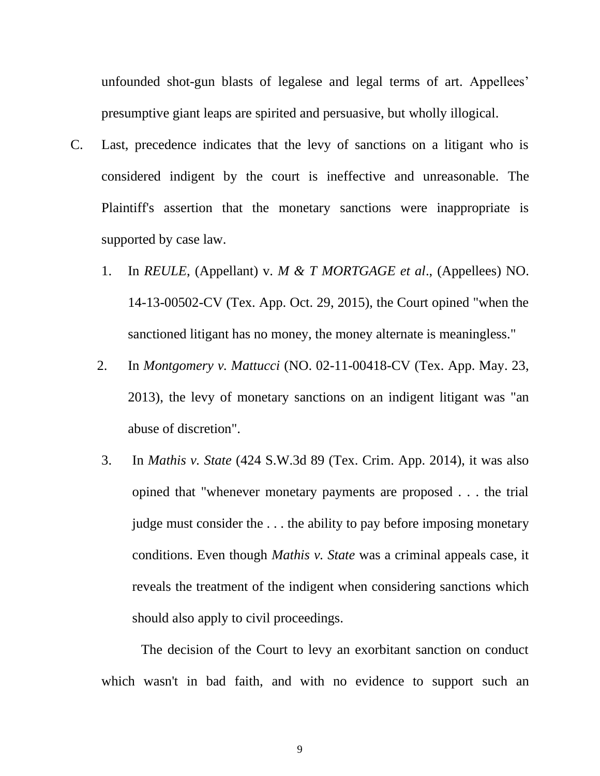unfounded shot-gun blasts of legalese and legal terms of art. Appellees' presumptive giant leaps are spirited and persuasive, but wholly illogical.

- C. Last, precedence indicates that the levy of sanctions on a litigant who is considered indigent by the court is ineffective and unreasonable. The Plaintiff's assertion that the monetary sanctions were inappropriate is supported by case law.
	- 1. In *REULE*, (Appellant) v. *M & T MORTGAGE et al*., (Appellees) NO. 14-13-00502-CV (Tex. App. Oct. 29, 2015), the Court opined "when the sanctioned litigant has no money, the money alternate is meaningless."
	- 2. In *Montgomery v. Mattucci* (NO. 02-11-00418-CV (Tex. App. May. 23, 2013), the levy of monetary sanctions on an indigent litigant was "an abuse of discretion".
	- 3. In *Mathis v. State* (424 S.W.3d 89 (Tex. Crim. App. 2014), it was also opined that "whenever monetary payments are proposed . . . the trial judge must consider the . . . the ability to pay before imposing monetary conditions. Even though *Mathis v. State* was a criminal appeals case, it reveals the treatment of the indigent when considering sanctions which should also apply to civil proceedings.

The decision of the Court to levy an exorbitant sanction on conduct which wasn't in bad faith, and with no evidence to support such an

9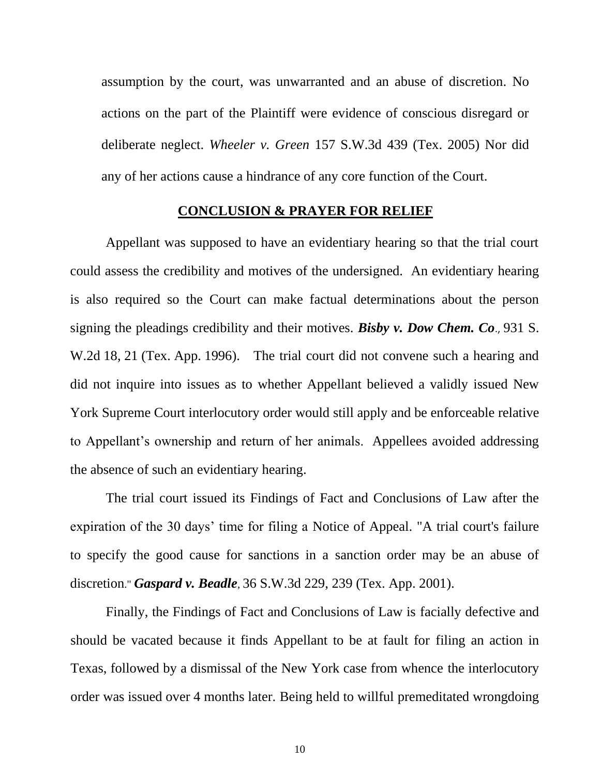assumption by the court, was unwarranted and an abuse of discretion. No actions on the part of the Plaintiff were evidence of conscious disregard or deliberate neglect. *Wheeler v. Green* 157 S.W.3d 439 (Tex. 2005) Nor did any of her actions cause a hindrance of any core function of the Court.

#### **CONCLUSION & PRAYER FOR RELIEF**

Appellant was supposed to have an evidentiary hearing so that the trial court could assess the credibility and motives of the undersigned. An evidentiary hearing is also required so the Court can make factual determinations about the person signing the pleadings credibility and their motives. *Bisby v. Dow Chem. Co*., 931 S. W.2d 18, 21 (Tex. App. 1996). The trial court did not convene such a hearing and did not inquire into issues as to whether Appellant believed a validly issued New York Supreme Court interlocutory order would still apply and be enforceable relative to Appellant's ownership and return of her animals. Appellees avoided addressing the absence of such an evidentiary hearing.

The trial court issued its Findings of Fact and Conclusions of Law after the expiration of the 30 days' time for filing a Notice of Appeal. "A trial court's failure to specify the good cause for sanctions in a sanction order may be an abuse of discretion." *Gaspard v. Beadle*, 36 S.W.3d 229, 239 (Tex. App. 2001).

Finally, the Findings of Fact and Conclusions of Law is facially defective and should be vacated because it finds Appellant to be at fault for filing an action in Texas, followed by a dismissal of the New York case from whence the interlocutory order was issued over 4 months later. Being held to willful premeditated wrongdoing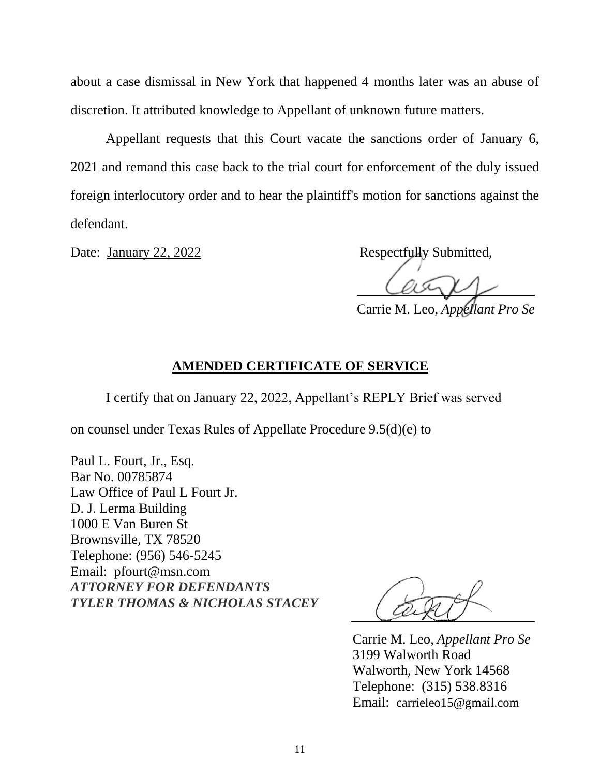about a case dismissal in New York that happened 4 months later was an abuse of discretion. It attributed knowledge to Appellant of unknown future matters.

Appellant requests that this Court vacate the sanctions order of January 6, 2021 and remand this case back to the trial court for enforcement of the duly issued foreign interlocutory order and to hear the plaintiff's motion for sanctions against the defendant.

Date: January 22, 2022 Respectfully Submitted,

Carrie M. Leo, *Appellant Pro Se*

### **AMENDED CERTIFICATE OF SERVICE**

I certify that on January 22, 2022, Appellant's REPLY Brief was served

on counsel under Texas Rules of Appellate Procedure 9.5(d)(e) to

Paul L. Fourt, Jr., Esq. Bar No. 00785874 Law Office of Paul L Fourt Jr. D. J. Lerma Building 1000 E Van Buren St Brownsville, TX 78520 Telephone: (956) 546-5245 Email: pfourt@msn.com *ATTORNEY FOR DEFENDANTS TYLER THOMAS & NICHOLAS STACEY*

Carrie M. Leo, *Appellant Pro Se* 3199 Walworth Road Walworth, New York 14568 Telephone: (315) 538.8316 Email: carrieleo15@gmail.com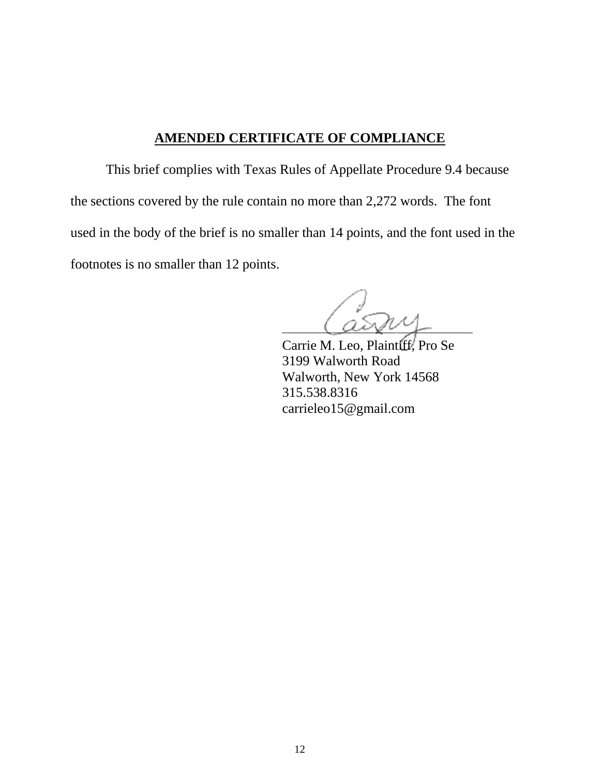### **AMENDED CERTIFICATE OF COMPLIANCE**

This brief complies with Texas Rules of Appellate Procedure 9.4 because the sections covered by the rule contain no more than 2,272 words. The font used in the body of the brief is no smaller than 14 points, and the font used in the footnotes is no smaller than 12 points.

Carrie M. Leo, Plaintiff, Pro Se 3199 Walworth Road Walworth, New York 14568 315.538.8316 carrieleo15@gmail.com